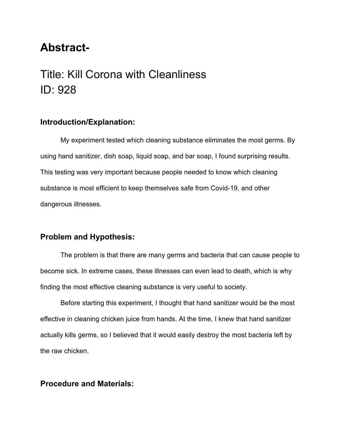# **Abstract-**

# Title: Kill Corona with Cleanliness ID: 928

#### **Introduction/Explanation:**

My experiment tested which cleaning substance eliminates the most germs. By using hand sanitizer, dish soap, liquid soap, and bar soap, I found surprising results. This testing was very important because people needed to know which cleaning substance is most efficient to keep themselves safe from Covid-19, and other dangerous illnesses.

#### **Problem and Hypothesis:**

The problem is that there are many germs and bacteria that can cause people to become sick. In extreme cases, these illnesses can even lead to death, which is why finding the most effective cleaning substance is very useful to society.

Before starting this experiment, I thought that hand sanitizer would be the most effective in cleaning chicken juice from hands. At the time, I knew that hand sanitizer actually kills germs, so I believed that it would easily destroy the most bacteria left by the raw chicken.

#### **Procedure and Materials:**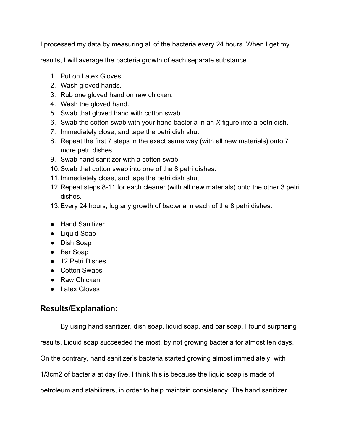I processed my data by measuring all of the bacteria every 24 hours. When I get my

results, I will average the bacteria growth of each separate substance.

- 1. Put on Latex Gloves.
- 2. Wash gloved hands.
- 3. Rub one gloved hand on raw chicken.
- 4. Wash the gloved hand.
- 5. Swab that gloved hand with cotton swab.
- 6. Swab the cotton swab with your hand bacteria in an *X* figure into a petri dish.
- 7. Immediately close, and tape the petri dish shut.
- 8. Repeat the first 7 steps in the exact same way (with all new materials) onto 7 more petri dishes.
- 9. Swab hand sanitizer with a cotton swab.
- 10.Swab that cotton swab into one of the 8 petri dishes.
- 11.Immediately close, and tape the petri dish shut.
- 12.Repeat steps 8-11 for each cleaner (with all new materials) onto the other 3 petri dishes.
- 13.Every 24 hours, log any growth of bacteria in each of the 8 petri dishes.
- Hand Sanitizer
- Liquid Soap
- Dish Soap
- Bar Soap
- 12 Petri Dishes
- Cotton Swabs
- Raw Chicken
- Latex Gloves

### **Results/Explanation:**

By using hand sanitizer, dish soap, liquid soap, and bar soap, I found surprising

results. Liquid soap succeeded the most, by not growing bacteria for almost ten days.

On the contrary, hand sanitizer's bacteria started growing almost immediately, with

1/3cm2 of bacteria at day five. I think this is because the liquid soap is made of

petroleum and stabilizers, in order to help maintain consistency. The hand sanitizer